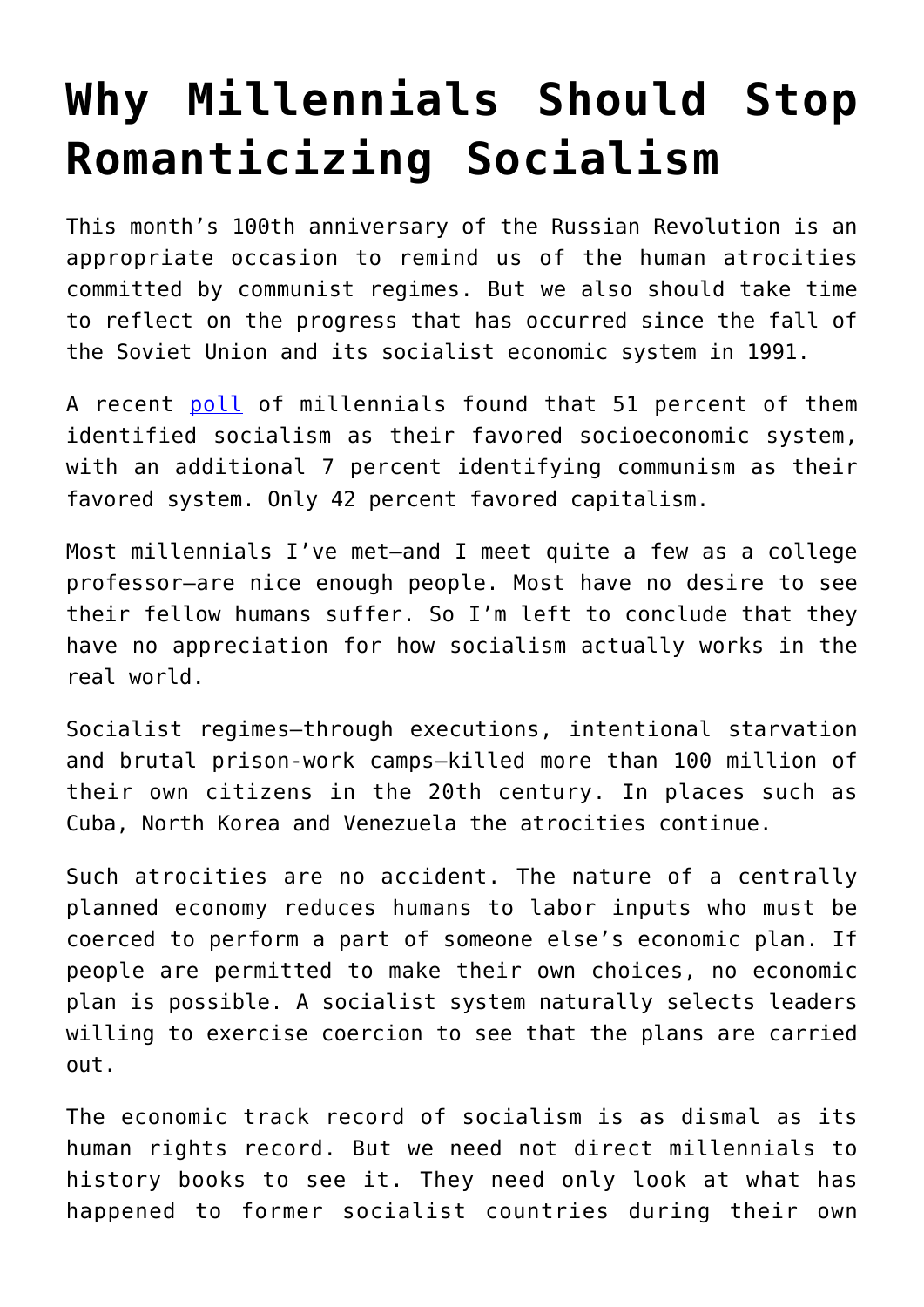## **[Why Millennials Should Stop](https://intellectualtakeout.org/2017/11/why-millennials-should-stop-romanticizing-socialism/) [Romanticizing Socialism](https://intellectualtakeout.org/2017/11/why-millennials-should-stop-romanticizing-socialism/)**

This month's 100th anniversary of the Russian Revolution is an appropriate occasion to remind us of the human atrocities committed by communist regimes. But we also should take time to reflect on the progress that has occurred since the fall of the Soviet Union and its socialist economic system in 1991.

A recent [poll](https://m.washingtontimes.com/news/2017/nov/4/majority-millennials-want-live-socialist-fascist-o/) of millennials found that 51 percent of them identified socialism as their favored socioeconomic system, with an additional 7 percent identifying communism as their favored system. Only 42 percent favored capitalism.

Most millennials I've met—and I meet quite a few as a college professor—are nice enough people. Most have no desire to see their fellow humans suffer. So I'm left to conclude that they have no appreciation for how socialism actually works in the real world.

Socialist regimes—through executions, intentional starvation and brutal prison-work camps—killed more than 100 million of their own citizens in the 20th century. In places such as Cuba, North Korea and Venezuela the atrocities continue.

Such atrocities are no accident. The nature of a centrally planned economy reduces humans to labor inputs who must be coerced to perform a part of someone else's economic plan. If people are permitted to make their own choices, no economic plan is possible. A socialist system naturally selects leaders willing to exercise coercion to see that the plans are carried out.

The economic track record of socialism is as dismal as its human rights record. But we need not direct millennials to history books to see it. They need only look at what has happened to former socialist countries during their own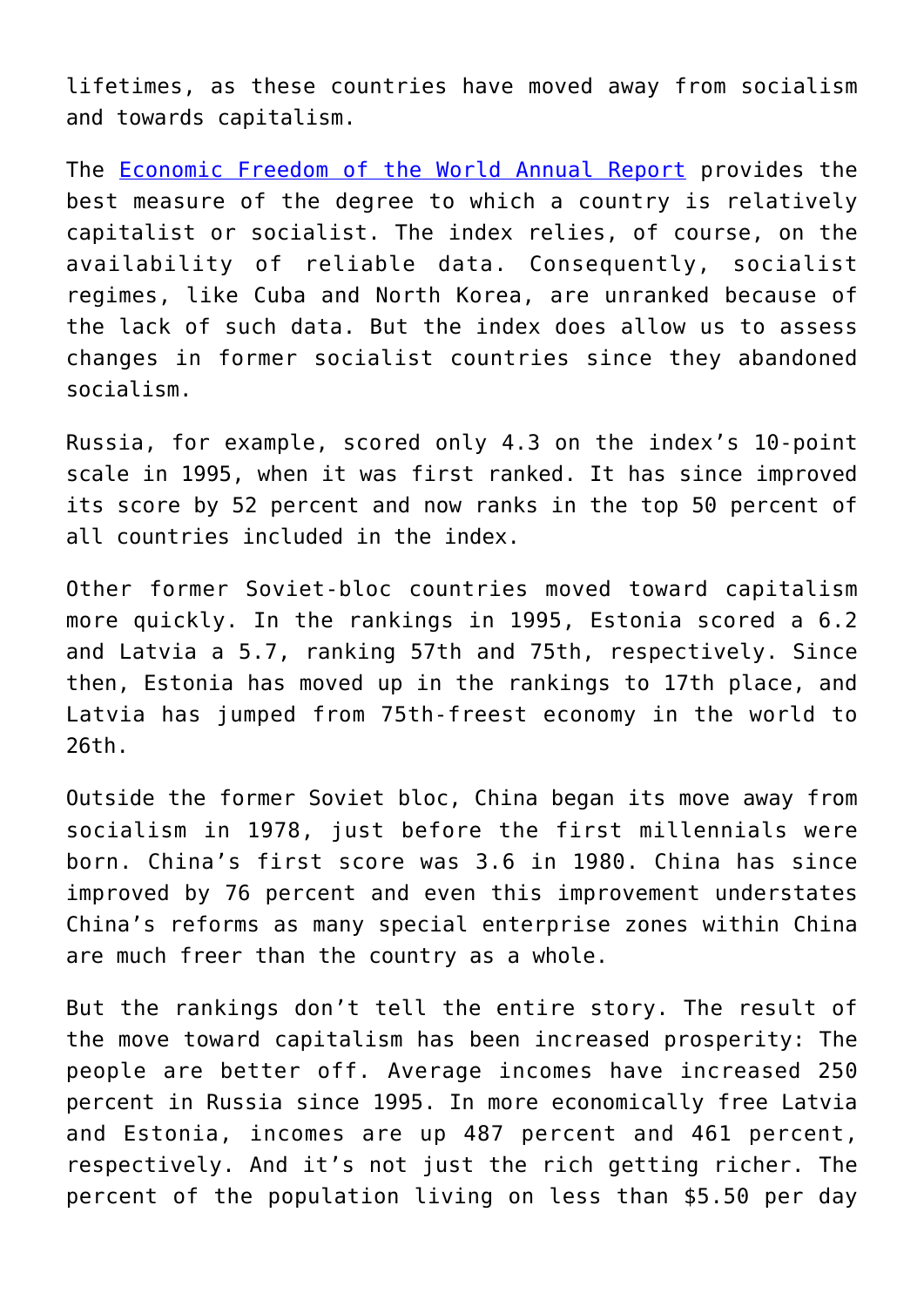lifetimes, as these countries have moved away from socialism and towards capitalism.

The [Economic Freedom of the World Annual Report](https://www.fraserinstitute.org/economic-freedom/dataset?year=2014&page=dataset&min-year=2&max-year=0&filter=1&most-free=1&quartile2=1&quartile3=1&least-free=1) provides the best measure of the degree to which a country is relatively capitalist or socialist. The index relies, of course, on the availability of reliable data. Consequently, socialist regimes, like Cuba and North Korea, are unranked because of the lack of such data. But the index does allow us to assess changes in former socialist countries since they abandoned socialism.

Russia, for example, scored only 4.3 on the index's 10-point scale in 1995, when it was first ranked. It has since improved its score by 52 percent and now ranks in the top 50 percent of all countries included in the index.

Other former Soviet-bloc countries moved toward capitalism more quickly. In the rankings in 1995, Estonia scored a 6.2 and Latvia a 5.7, ranking 57th and 75th, respectively. Since then, Estonia has moved up in the rankings to 17th place, and Latvia has jumped from 75th-freest economy in the world to 26th.

Outside the former Soviet bloc, China began its move away from socialism in 1978, just before the first millennials were born. China's first score was 3.6 in 1980. China has since improved by 76 percent and even this improvement understates China's reforms as many special enterprise zones within China are much freer than the country as a whole.

But the rankings don't tell the entire story. The result of the move toward capitalism has been increased prosperity: The people are better off. Average incomes have increased 250 percent in Russia since 1995. In more economically free Latvia and Estonia, incomes are up 487 percent and 461 percent, respectively. And it's not just the rich getting richer. The percent of the population living on less than \$5.50 per day